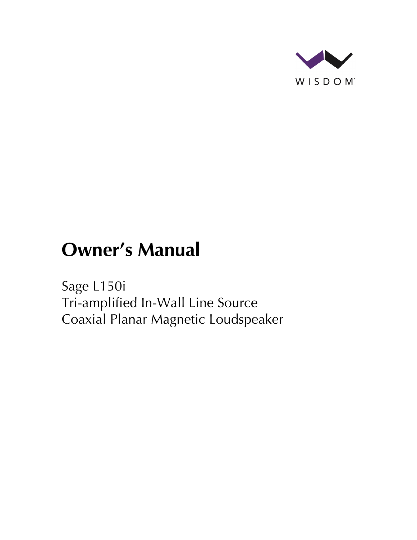

# **Owner's Manual**

Sage L150i Tri-amplified In-Wall Line Source Coaxial Planar Magnetic Loudspeaker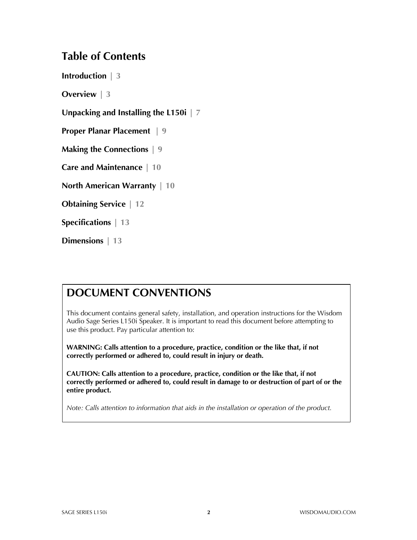#### **Table of Contents**

**Introduction | 3**

**Overview | 3**

**Unpacking and Installing the L150i | 7**

**Proper Planar Placement | 9**

**Making the Connections | 9**

**Care and Maintenance | 10**

**North American Warranty | 10**

**Obtaining Service | 12**

**Specifications | 13**

**Dimensions | 13**

#### **DOCUMENT CONVENTIONS**

This document contains general safety, installation, and operation instructions for the Wisdom Audio Sage Series L150i Speaker. It is important to read this document before attempting to use this product. Pay particular attention to:

**WARNING: Calls attention to a procedure, practice, condition or the like that, if not correctly performed or adhered to, could result in injury or death.** 

**CAUTION: Calls attention to a procedure, practice, condition or the like that, if not correctly performed or adhered to, could result in damage to or destruction of part of or the entire product.** 

*Note: Calls attention to information that aids in the installation or operation of the product.*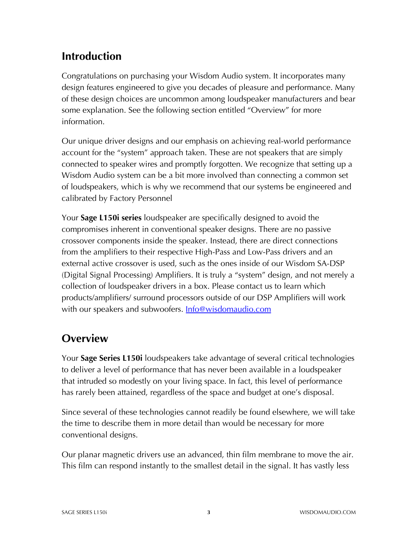## **Introduction**

Congratulations on purchasing your Wisdom Audio system. It incorporates many design features engineered to give you decades of pleasure and performance. Many of these design choices are uncommon among loudspeaker manufacturers and bear some explanation. See the following section entitled "Overview" for more information.

Our unique driver designs and our emphasis on achieving real-world performance account for the "system" approach taken. These are not speakers that are simply connected to speaker wires and promptly forgotten. We recognize that setting up a Wisdom Audio system can be a bit more involved than connecting a common set of loudspeakers, which is why we recommend that our systems be engineered and calibrated by Factory Personnel

Your **Sage L150i series** loudspeaker are specifically designed to avoid the compromises inherent in conventional speaker designs. There are no passive crossover components inside the speaker. Instead, there are direct connections from the amplifiers to their respective High-Pass and Low-Pass drivers and an external active crossover is used, such as the ones inside of our Wisdom SA-DSP (Digital Signal Processing) Amplifiers. It is truly a "system" design, and not merely a collection of loudspeaker drivers in a box. Please contact us to learn which products/amplifiers/ surround processors outside of our DSP Amplifiers will work with our speakers and subwoofers. **Info@wisdomaudio.com** 

## **Overview**

Your **Sage Series L150i** loudspeakers take advantage of several critical technologies to deliver a level of performance that has never been available in a loudspeaker that intruded so modestly on your living space. In fact, this level of performance has rarely been attained, regardless of the space and budget at one's disposal.

Since several of these technologies cannot readily be found elsewhere, we will take the time to describe them in more detail than would be necessary for more conventional designs.

Our planar magnetic drivers use an advanced, thin film membrane to move the air. This film can respond instantly to the smallest detail in the signal. It has vastly less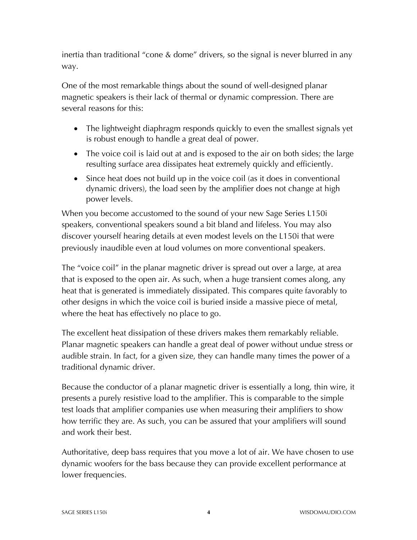inertia than traditional "cone & dome" drivers, so the signal is never blurred in any way.

One of the most remarkable things about the sound of well-designed planar magnetic speakers is their lack of thermal or dynamic compression. There are several reasons for this:

- The lightweight diaphragm responds quickly to even the smallest signals yet is robust enough to handle a great deal of power.
- The voice coil is laid out at and is exposed to the air on both sides; the large resulting surface area dissipates heat extremely quickly and efficiently.
- Since heat does not build up in the voice coil (as it does in conventional dynamic drivers), the load seen by the amplifier does not change at high power levels.

When you become accustomed to the sound of your new Sage Series L150i speakers, conventional speakers sound a bit bland and lifeless. You may also discover yourself hearing details at even modest levels on the L150i that were previously inaudible even at loud volumes on more conventional speakers.

The "voice coil" in the planar magnetic driver is spread out over a large, at area that is exposed to the open air. As such, when a huge transient comes along, any heat that is generated is immediately dissipated. This compares quite favorably to other designs in which the voice coil is buried inside a massive piece of metal, where the heat has effectively no place to go.

The excellent heat dissipation of these drivers makes them remarkably reliable. Planar magnetic speakers can handle a great deal of power without undue stress or audible strain. In fact, for a given size, they can handle many times the power of a traditional dynamic driver.

Because the conductor of a planar magnetic driver is essentially a long, thin wire, it presents a purely resistive load to the amplifier. This is comparable to the simple test loads that amplifier companies use when measuring their amplifiers to show how terrific they are. As such, you can be assured that your amplifiers will sound and work their best.

Authoritative, deep bass requires that you move a lot of air. We have chosen to use dynamic woofers for the bass because they can provide excellent performance at lower frequencies.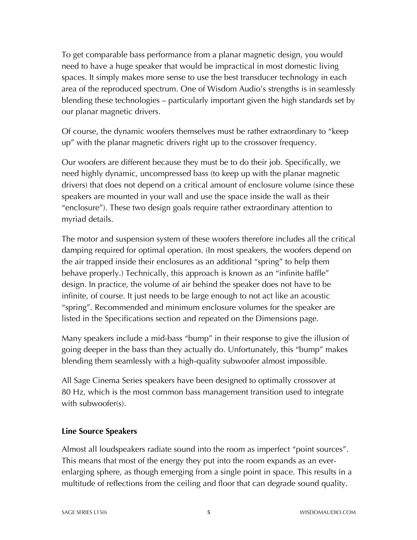To get comparable bass performance from a planar magnetic design, you would need to have a huge speaker that would be impractical in most domestic living spaces. It simply makes more sense to use the best transducer technology in each area of the reproduced spectrum. One of Wisdom Audio's strengths is in seamlessly blending these technologies – particularly important given the high standards set by our planar magnetic drivers.

Of course, the dynamic woofers themselves must be rather extraordinary to "keep up" with the planar magnetic drivers right up to the crossover frequency.

Our woofers are different because they must be to do their job. Specifically, we need highly dynamic, uncompressed bass (to keep up with the planar magnetic drivers) that does not depend on a critical amount of enclosure volume (since these speakers are mounted in your wall and use the space inside the wall as their "enclosure"). These two design goals require rather extraordinary attention to myriad details.

The motor and suspension system of these woofers therefore includes all the critical damping required for optimal operation. (In most speakers, the woofers depend on the air trapped inside their enclosures as an additional "spring" to help them behave properly.) Technically, this approach is known as an "infinite baffle" design. In practice, the volume of air behind the speaker does not have to be infinite, of course. It just needs to be large enough to not act like an acoustic "spring". Recommended and minimum enclosure volumes for the speaker are listed in the Specifications section and repeated on the Dimensions page.

Many speakers include a mid-bass "bump" in their response to give the illusion of going deeper in the bass than they actually do. Unfortunately, this "bump" makes blending them seamlessly with a high-quality subwoofer almost impossible.

All Sage Cinema Series speakers have been designed to optimally crossover at 80 Hz, which is the most common bass management transition used to integrate with subwoofer(s).

#### **Line Source Speakers**

Almost all loudspeakers radiate sound into the room as imperfect "point sources". This means that most of the energy they put into the room expands as an everenlarging sphere, as though emerging from a single point in space. This results in a multitude of reflections from the ceiling and floor that can degrade sound quality.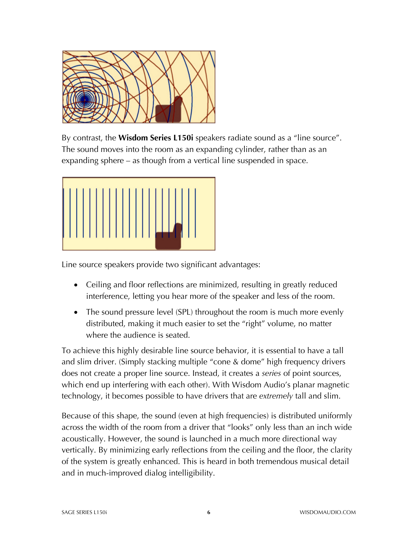

By contrast, the **Wisdom Series L150i** speakers radiate sound as a "line source". The sound moves into the room as an expanding cylinder, rather than as an expanding sphere – as though from a vertical line suspended in space.



Line source speakers provide two significant advantages:

- Ceiling and floor reflections are minimized, resulting in greatly reduced interference, letting you hear more of the speaker and less of the room.
- The sound pressure level (SPL) throughout the room is much more evenly distributed, making it much easier to set the "right" volume, no matter where the audience is seated.

To achieve this highly desirable line source behavior, it is essential to have a tall and slim driver. (Simply stacking multiple "cone & dome" high frequency drivers does not create a proper line source. Instead, it creates a *series* of point sources, which end up interfering with each other). With Wisdom Audio's planar magnetic technology, it becomes possible to have drivers that are *extremely* tall and slim.

Because of this shape, the sound (even at high frequencies) is distributed uniformly across the width of the room from a driver that "looks" only less than an inch wide acoustically. However, the sound is launched in a much more directional way vertically. By minimizing early reflections from the ceiling and the floor, the clarity of the system is greatly enhanced. This is heard in both tremendous musical detail and in much-improved dialog intelligibility.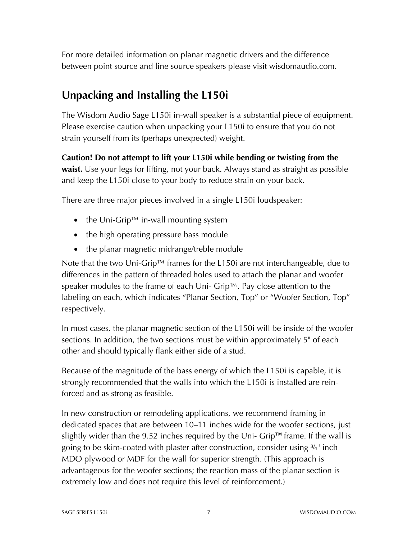For more detailed information on planar magnetic drivers and the difference between point source and line source speakers please visit wisdomaudio.com.

## **Unpacking and Installing the L150i**

The Wisdom Audio Sage L150i in-wall speaker is a substantial piece of equipment. Please exercise caution when unpacking your L150i to ensure that you do not strain yourself from its (perhaps unexpected) weight.

**Caution! Do not attempt to lift your L150i while bending or twisting from the waist.** Use your legs for lifting, not your back. Always stand as straight as possible and keep the L150i close to your body to reduce strain on your back.

There are three major pieces involved in a single L150i loudspeaker:

- the Uni-Grip™ in-wall mounting system
- the high operating pressure bass module
- the planar magnetic midrange/treble module

Note that the two Uni-Grip™ frames for the L150i are not interchangeable, due to differences in the pattern of threaded holes used to attach the planar and woofer speaker modules to the frame of each Uni- Grip™. Pay close attention to the labeling on each, which indicates "Planar Section, Top" or "Woofer Section, Top" respectively.

In most cases, the planar magnetic section of the L150i will be inside of the woofer sections. In addition, the two sections must be within approximately 5" of each other and should typically flank either side of a stud.

Because of the magnitude of the bass energy of which the L150i is capable, it is strongly recommended that the walls into which the L150i is installed are reinforced and as strong as feasible.

In new construction or remodeling applications, we recommend framing in dedicated spaces that are between 10–11 inches wide for the woofer sections, just slightly wider than the 9.52 inches required by the Uni- Grip™ frame. If the wall is going to be skim-coated with plaster after construction, consider using ¾" inch MDO plywood or MDF for the wall for superior strength. (This approach is advantageous for the woofer sections; the reaction mass of the planar section is extremely low and does not require this level of reinforcement.)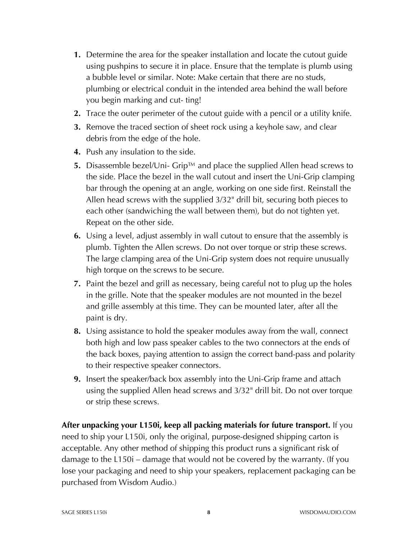- **1.** Determine the area for the speaker installation and locate the cutout guide using pushpins to secure it in place. Ensure that the template is plumb using a bubble level or similar. Note: Make certain that there are no studs, plumbing or electrical conduit in the intended area behind the wall before you begin marking and cut- ting!
- **2.** Trace the outer perimeter of the cutout guide with a pencil or a utility knife.
- **3.** Remove the traced section of sheet rock using a keyhole saw, and clear debris from the edge of the hole.
- **4.** Push any insulation to the side.
- **5.** Disassemble bezel/Uni- Grip™ and place the supplied Allen head screws to the side. Place the bezel in the wall cutout and insert the Uni-Grip clamping bar through the opening at an angle, working on one side first. Reinstall the Allen head screws with the supplied 3/32" drill bit, securing both pieces to each other (sandwiching the wall between them), but do not tighten yet. Repeat on the other side.
- **6.** Using a level, adjust assembly in wall cutout to ensure that the assembly is plumb. Tighten the Allen screws. Do not over torque or strip these screws. The large clamping area of the Uni-Grip system does not require unusually high torque on the screws to be secure.
- **7.** Paint the bezel and grill as necessary, being careful not to plug up the holes in the grille. Note that the speaker modules are not mounted in the bezel and grille assembly at this time. They can be mounted later, after all the paint is dry.
- **8.** Using assistance to hold the speaker modules away from the wall, connect both high and low pass speaker cables to the two connectors at the ends of the back boxes, paying attention to assign the correct band-pass and polarity to their respective speaker connectors.
- **9.** Insert the speaker/back box assembly into the Uni-Grip frame and attach using the supplied Allen head screws and 3/32" drill bit. Do not over torque or strip these screws.

**After unpacking your L150i, keep all packing materials for future transport.** If you need to ship your L150i, only the original, purpose-designed shipping carton is acceptable. Any other method of shipping this product runs a significant risk of damage to the L150i – damage that would not be covered by the warranty. (If you lose your packaging and need to ship your speakers, replacement packaging can be purchased from Wisdom Audio.)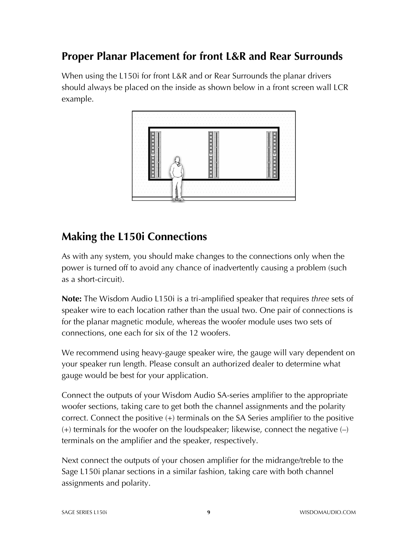## **Proper Planar Placement for front L&R and Rear Surrounds**

When using the L150i for front L&R and or Rear Surrounds the planar drivers should always be placed on the inside as shown below in a front screen wall LCR example.



## **Making the L150i Connections**

As with any system, you should make changes to the connections only when the power is turned off to avoid any chance of inadvertently causing a problem (such as a short-circuit).

**Note:** The Wisdom Audio L150i is a tri-amplified speaker that requires *three* sets of speaker wire to each location rather than the usual two. One pair of connections is for the planar magnetic module, whereas the woofer module uses two sets of connections, one each for six of the 12 woofers.

We recommend using heavy-gauge speaker wire, the gauge will vary dependent on your speaker run length. Please consult an authorized dealer to determine what gauge would be best for your application.

Connect the outputs of your Wisdom Audio SA-series amplifier to the appropriate woofer sections, taking care to get both the channel assignments and the polarity correct. Connect the positive (+) terminals on the SA Series amplifier to the positive  $(+)$  terminals for the woofer on the loudspeaker; likewise, connect the negative  $(-)$ terminals on the amplifier and the speaker, respectively.

Next connect the outputs of your chosen amplifier for the midrange/treble to the Sage L150i planar sections in a similar fashion, taking care with both channel assignments and polarity.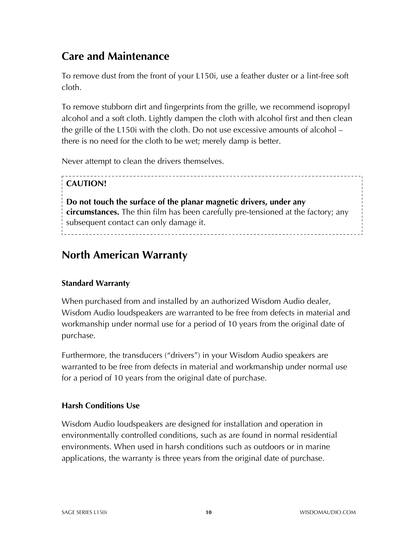## **Care and Maintenance**

To remove dust from the front of your L150i, use a feather duster or a lint-free soft cloth.

To remove stubborn dirt and fingerprints from the grille, we recommend isopropyl alcohol and a soft cloth. Lightly dampen the cloth with alcohol first and then clean the grille of the L150i with the cloth. Do not use excessive amounts of alcohol – there is no need for the cloth to be wet; merely damp is better.

Never attempt to clean the drivers themselves.

#### **CAUTION!**

**Do not touch the surface of the planar magnetic drivers, under any circumstances.** The thin film has been carefully pre-tensioned at the factory; any subsequent contact can only damage it. 

## **North American Warranty**

#### **Standard Warranty**

When purchased from and installed by an authorized Wisdom Audio dealer, Wisdom Audio loudspeakers are warranted to be free from defects in material and workmanship under normal use for a period of 10 years from the original date of purchase.

Furthermore, the transducers ("drivers") in your Wisdom Audio speakers are warranted to be free from defects in material and workmanship under normal use for a period of 10 years from the original date of purchase.

#### **Harsh Conditions Use**

Wisdom Audio loudspeakers are designed for installation and operation in environmentally controlled conditions, such as are found in normal residential environments. When used in harsh conditions such as outdoors or in marine applications, the warranty is three years from the original date of purchase.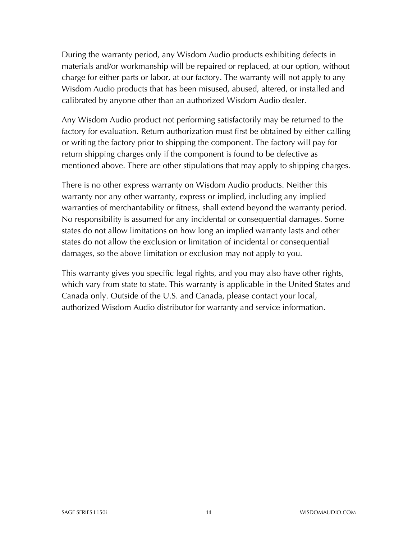During the warranty period, any Wisdom Audio products exhibiting defects in materials and/or workmanship will be repaired or replaced, at our option, without charge for either parts or labor, at our factory. The warranty will not apply to any Wisdom Audio products that has been misused, abused, altered, or installed and calibrated by anyone other than an authorized Wisdom Audio dealer.

Any Wisdom Audio product not performing satisfactorily may be returned to the factory for evaluation. Return authorization must first be obtained by either calling or writing the factory prior to shipping the component. The factory will pay for return shipping charges only if the component is found to be defective as mentioned above. There are other stipulations that may apply to shipping charges.

There is no other express warranty on Wisdom Audio products. Neither this warranty nor any other warranty, express or implied, including any implied warranties of merchantability or fitness, shall extend beyond the warranty period. No responsibility is assumed for any incidental or consequential damages. Some states do not allow limitations on how long an implied warranty lasts and other states do not allow the exclusion or limitation of incidental or consequential damages, so the above limitation or exclusion may not apply to you.

This warranty gives you specific legal rights, and you may also have other rights, which vary from state to state. This warranty is applicable in the United States and Canada only. Outside of the U.S. and Canada, please contact your local, authorized Wisdom Audio distributor for warranty and service information.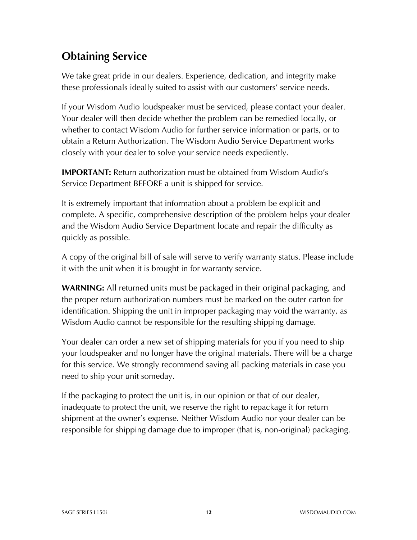## **Obtaining Service**

We take great pride in our dealers. Experience, dedication, and integrity make these professionals ideally suited to assist with our customers' service needs.

If your Wisdom Audio loudspeaker must be serviced, please contact your dealer. Your dealer will then decide whether the problem can be remedied locally, or whether to contact Wisdom Audio for further service information or parts, or to obtain a Return Authorization. The Wisdom Audio Service Department works closely with your dealer to solve your service needs expediently.

**IMPORTANT:** Return authorization must be obtained from Wisdom Audio's Service Department BEFORE a unit is shipped for service.

It is extremely important that information about a problem be explicit and complete. A specific, comprehensive description of the problem helps your dealer and the Wisdom Audio Service Department locate and repair the difficulty as quickly as possible.

A copy of the original bill of sale will serve to verify warranty status. Please include it with the unit when it is brought in for warranty service.

**WARNING:** All returned units must be packaged in their original packaging, and the proper return authorization numbers must be marked on the outer carton for identification. Shipping the unit in improper packaging may void the warranty, as Wisdom Audio cannot be responsible for the resulting shipping damage.

Your dealer can order a new set of shipping materials for you if you need to ship your loudspeaker and no longer have the original materials. There will be a charge for this service. We strongly recommend saving all packing materials in case you need to ship your unit someday.

If the packaging to protect the unit is, in our opinion or that of our dealer, inadequate to protect the unit, we reserve the right to repackage it for return shipment at the owner's expense. Neither Wisdom Audio nor your dealer can be responsible for shipping damage due to improper (that is, non-original) packaging.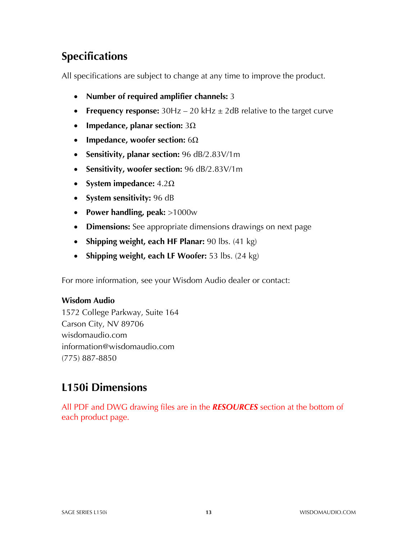# **Specifications**

All specifications are subject to change at any time to improve the product.

- **Number of required amplifier channels:** 3
- **Frequency response:**  $30Hz 20kHz \pm 2dB$  relative to the target curve
- **Impedance, planar section:** 3Ω
- **Impedance, woofer section:** 6Ω
- **Sensitivity, planar section:** 96 dB/2.83V/1m
- **Sensitivity, woofer section:** 96 dB/2.83V/1m
- **System impedance:** 4.2Ω
- **System sensitivity:** 96 dB
- **Power handling, peak:** >1000w
- **Dimensions:** See appropriate dimensions drawings on next page
- **Shipping weight, each HF Planar:** 90 lbs. (41 kg)
- **Shipping weight, each LF Woofer:** 53 lbs. (24 kg)

For more information, see your Wisdom Audio dealer or contact:

#### **Wisdom Audio**

1572 College Parkway, Suite 164 Carson City, NV 89706 wisdomaudio.com information@wisdomaudio.com (775) 887-8850

#### **L150i Dimensions**

All PDF and DWG drawing files are in the *RESOURCES* section at the bottom of each product page.